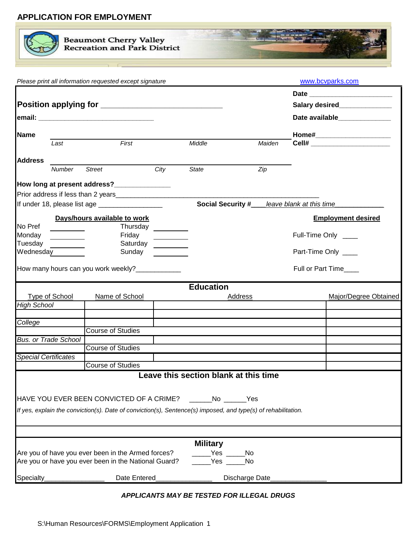## **APPLICATION FOR EMPLOYMENT**



**Beaumont Cherry Valley<br>Recreation and Park District** 

|                    |                             | Please print all information requested except signature |                                                                                                                                                              |                                                                                                               |        |                              | www.bcvparks.com                |
|--------------------|-----------------------------|---------------------------------------------------------|--------------------------------------------------------------------------------------------------------------------------------------------------------------|---------------------------------------------------------------------------------------------------------------|--------|------------------------------|---------------------------------|
|                    |                             |                                                         |                                                                                                                                                              |                                                                                                               |        |                              |                                 |
|                    |                             | Position applying for ____________________________      |                                                                                                                                                              |                                                                                                               |        |                              | Salary desired______________    |
|                    |                             |                                                         |                                                                                                                                                              |                                                                                                               |        | Date available______________ |                                 |
| Name               |                             |                                                         |                                                                                                                                                              |                                                                                                               |        |                              | Home#__________________________ |
|                    | Last                        | First                                                   |                                                                                                                                                              | Middle                                                                                                        | Maiden |                              | Cell# ________________________  |
| <b>Address</b>     |                             |                                                         |                                                                                                                                                              |                                                                                                               |        |                              |                                 |
|                    | Number                      | <b>Street</b>                                           | City                                                                                                                                                         | <b>State</b>                                                                                                  | Zip    |                              |                                 |
|                    |                             | How long at present address?_______________             |                                                                                                                                                              |                                                                                                               |        |                              |                                 |
|                    |                             | Prior address if less than 2 years                      |                                                                                                                                                              |                                                                                                               |        |                              |                                 |
|                    |                             |                                                         |                                                                                                                                                              | Social Security #<br><u>Leave blank at this time</u>                                                          |        |                              |                                 |
|                    |                             | Days/hours available to work                            |                                                                                                                                                              |                                                                                                               |        |                              | <b>Employment desired</b>       |
| No Pref            | $\overline{\phantom{a}}$    | Thursday                                                | $\mathcal{L}^{\text{max}}$ , where $\mathcal{L}^{\text{max}}$                                                                                                |                                                                                                               |        |                              |                                 |
| Monday<br>Tuesday  |                             | Friday<br>Saturday                                      |                                                                                                                                                              |                                                                                                               |        | Full-Time Only               |                                 |
|                    | Wednesday                   | Sunday                                                  | $\label{eq:2} \frac{1}{\sqrt{2\pi}}\left(\frac{1}{\sqrt{2\pi}}\right)^{1/2}\left(\frac{1}{\sqrt{2\pi}}\right)^{1/2}\left(\frac{1}{\sqrt{2\pi}}\right)^{1/2}$ |                                                                                                               |        | Part-Time Only ____          |                                 |
|                    |                             |                                                         |                                                                                                                                                              |                                                                                                               |        |                              |                                 |
|                    |                             | How many hours can you work weekly?                     |                                                                                                                                                              |                                                                                                               |        | Full or Part Time            |                                 |
|                    |                             |                                                         |                                                                                                                                                              | <b>Education</b>                                                                                              |        |                              |                                 |
|                    | Type of School              | Name of School                                          |                                                                                                                                                              | Address                                                                                                       |        |                              | Major/Degree Obtained           |
| <b>High School</b> |                             |                                                         |                                                                                                                                                              |                                                                                                               |        |                              |                                 |
| College            |                             |                                                         |                                                                                                                                                              |                                                                                                               |        |                              |                                 |
|                    |                             | <b>Course of Studies</b>                                |                                                                                                                                                              |                                                                                                               |        |                              |                                 |
|                    | <b>Bus.</b> or Trade School |                                                         |                                                                                                                                                              |                                                                                                               |        |                              |                                 |
|                    |                             | <b>Course of Studies</b>                                |                                                                                                                                                              |                                                                                                               |        |                              |                                 |
|                    | <b>Special Certificates</b> |                                                         |                                                                                                                                                              |                                                                                                               |        |                              |                                 |
|                    |                             | <b>Course of Studies</b>                                |                                                                                                                                                              |                                                                                                               |        |                              |                                 |
|                    |                             |                                                         |                                                                                                                                                              | Leave this section blank at this time                                                                         |        |                              |                                 |
|                    |                             | HAVE YOU EVER BEEN CONVICTED OF A CRIME?                |                                                                                                                                                              | No Yes                                                                                                        |        |                              |                                 |
|                    |                             |                                                         |                                                                                                                                                              | If yes, explain the conviction(s). Date of conviction(s), Sentence(s) imposed, and type(s) of rehabilitation. |        |                              |                                 |
|                    |                             |                                                         |                                                                                                                                                              |                                                                                                               |        |                              |                                 |
|                    |                             |                                                         |                                                                                                                                                              |                                                                                                               |        |                              |                                 |
|                    |                             |                                                         |                                                                                                                                                              | <b>Military</b>                                                                                               |        |                              |                                 |
|                    |                             | Are you of have you ever been in the Armed forces?      |                                                                                                                                                              | Yes<br>No                                                                                                     |        |                              |                                 |
|                    |                             | Are you or have you ever been in the National Guard?    |                                                                                                                                                              | No                                                                                                            |        |                              |                                 |
| Specialty          |                             | Date Entered                                            |                                                                                                                                                              | Discharge Date                                                                                                |        |                              |                                 |
|                    |                             |                                                         |                                                                                                                                                              |                                                                                                               |        |                              |                                 |

## *APPLICANTS MAY BE TESTED FOR ILLEGAL DRUGS*